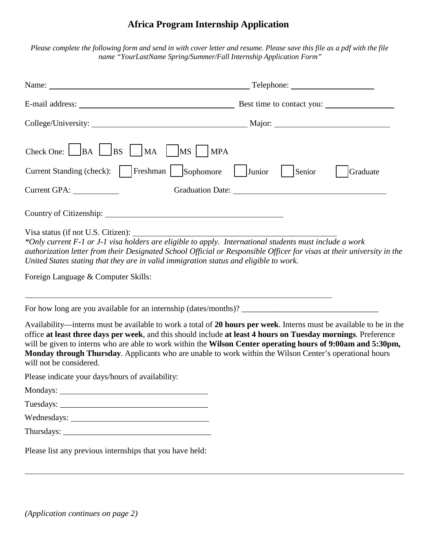## **Africa Program Internship Application**

Please complete the following form and send in with cover letter and resume. Please save this file as a pdf with the file *name "YourLastName Spring/Summer/Fall Internship Application Form"*

| Current GPA:                                                                                                                                                                                                                                                                                                                                                                                                                                                                               | Graduate |
|--------------------------------------------------------------------------------------------------------------------------------------------------------------------------------------------------------------------------------------------------------------------------------------------------------------------------------------------------------------------------------------------------------------------------------------------------------------------------------------------|----------|
|                                                                                                                                                                                                                                                                                                                                                                                                                                                                                            |          |
| Visa status (if not U.S. Citizen):<br>*Only current F-1 or J-1 visa holders are eligible to apply. International students must include a work<br>authorization letter from their Designated School Official or Responsible Officer for visas at their university in the<br>United States stating that they are in valid immigration status and eligible to work.<br>Foreign Language & Computer Skills:                                                                                    |          |
|                                                                                                                                                                                                                                                                                                                                                                                                                                                                                            |          |
|                                                                                                                                                                                                                                                                                                                                                                                                                                                                                            |          |
| Availability—interns must be available to work a total of 20 hours per week. Interns must be available to be in the<br>office at least three days per week, and this should include at least 4 hours on Tuesday mornings. Preference<br>will be given to interns who are able to work within the Wilson Center operating hours of 9:00am and 5:30pm,<br>Monday through Thursday. Applicants who are unable to work within the Wilson Center's operational hours<br>will not be considered. |          |
| Please indicate your days/hours of availability:                                                                                                                                                                                                                                                                                                                                                                                                                                           |          |
|                                                                                                                                                                                                                                                                                                                                                                                                                                                                                            |          |
|                                                                                                                                                                                                                                                                                                                                                                                                                                                                                            |          |
|                                                                                                                                                                                                                                                                                                                                                                                                                                                                                            |          |
|                                                                                                                                                                                                                                                                                                                                                                                                                                                                                            |          |
| Please list any previous internships that you have held:                                                                                                                                                                                                                                                                                                                                                                                                                                   |          |

 $\overline{a}$